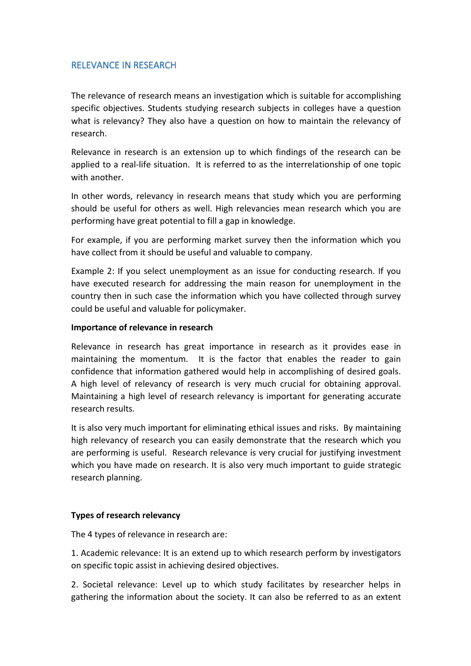## RELEVANCE IN RESEARCH

The relevance of research means an investigation which is suitable for accomplishing specific objectives. Students studying research subjects in colleges have a question what is relevancy? They also have a question on how to maintain the relevancy of research.

Relevance in research is an extension up to which findings of the research can be applied to a real-life situation. It is referred to as the interrelationship of one topic with another.

In other words, relevancy in research means that study which you are performing should be useful for others as well. High relevancies mean research which you are performing have great potential to fill a gap in knowledge.

For example, if you are performing market survey then the information which you have collect from it should be useful and valuable to company.

Example 2: If you select unemployment as an issue for conducting research.If you have executed research for addressing the main reason for unemployment in the country then in such case the information which you have collected through survey could be useful and valuable for policymaker.

## **Importance of relevance in research**

Relevance in research has great importance in research as it provides ease in maintaining the momentum. It is the factor that enables the reader to gain confidence that information gathered would help in accomplishing of desired goals. A high level of relevancy of research is very much crucial for obtaining approval. Maintaining a high level of research relevancy is important for generating accurate research results.

It is also very much important for eliminating ethical issues and risks. By maintaining high relevancy of research you can easily demonstrate that the research which you are performing is useful. Research relevance is very crucial for justifying investment which you have made on research. It is also very much important to guide strategic research planning.

## **Types of research relevancy**

The 4 types of relevance in research are:

1. Academic relevance: It is an extend up to which research perform by investigators on specific topic assist in achieving desired objectives.

2. Societal relevance: Level up to which study facilitates by researcher helps in gathering the information about the society. It can also be referred to as an extent